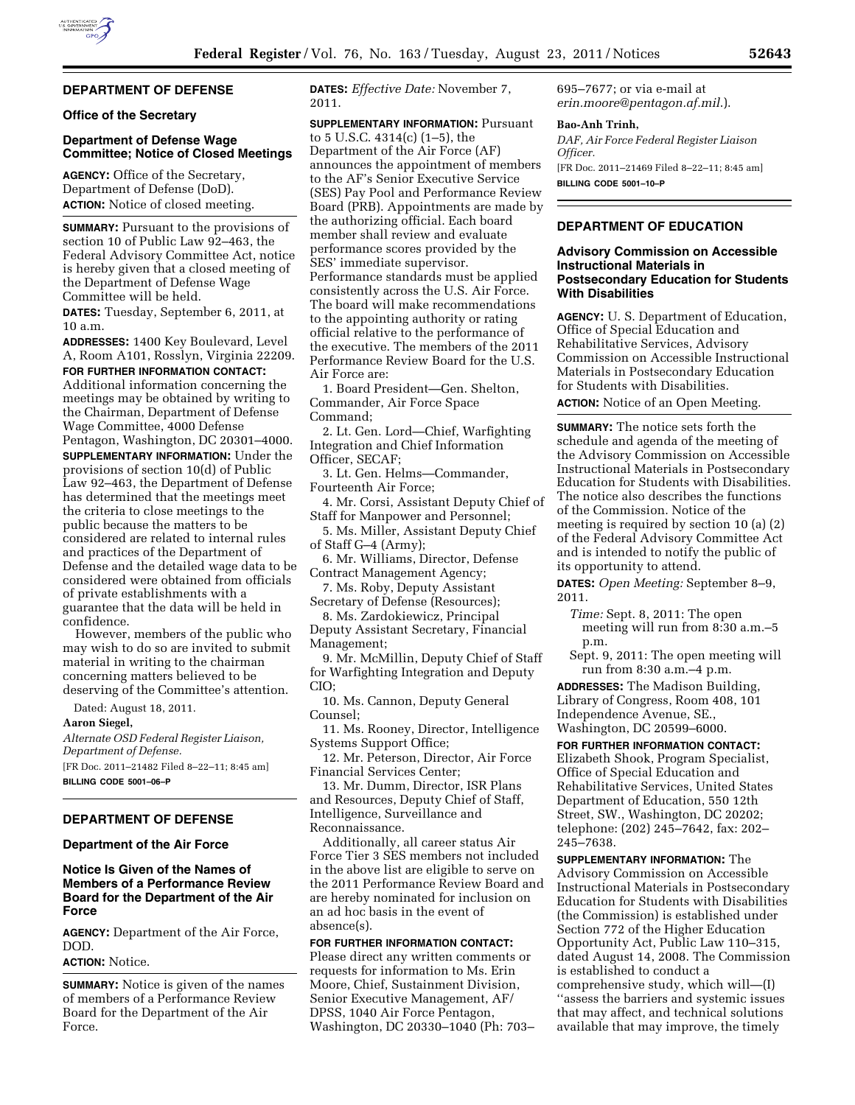# **DEPARTMENT OF DEFENSE**

## **Office of the Secretary**

## **Department of Defense Wage Committee; Notice of Closed Meetings**

**AGENCY:** Office of the Secretary, Department of Defense (DoD). **ACTION:** Notice of closed meeting.

**SUMMARY:** Pursuant to the provisions of section 10 of Public Law 92–463, the Federal Advisory Committee Act, notice is hereby given that a closed meeting of the Department of Defense Wage Committee will be held.

**DATES:** Tuesday, September 6, 2011, at 10 a.m.

**ADDRESSES:** 1400 Key Boulevard, Level A, Room A101, Rosslyn, Virginia 22209. **FOR FURTHER INFORMATION CONTACT:** 

Additional information concerning the meetings may be obtained by writing to the Chairman, Department of Defense Wage Committee, 4000 Defense Pentagon, Washington, DC 20301–4000.

**SUPPLEMENTARY INFORMATION:** Under the provisions of section 10(d) of Public Law 92–463, the Department of Defense has determined that the meetings meet the criteria to close meetings to the public because the matters to be considered are related to internal rules and practices of the Department of Defense and the detailed wage data to be considered were obtained from officials of private establishments with a guarantee that the data will be held in confidence.

However, members of the public who may wish to do so are invited to submit material in writing to the chairman concerning matters believed to be deserving of the Committee's attention.

Dated: August 18, 2011.

#### **Aaron Siegel,**

*Alternate OSD Federal Register Liaison, Department of Defense.*  [FR Doc. 2011–21482 Filed 8–22–11; 8:45 am]

**BILLING CODE 5001–06–P** 

## **DEPARTMENT OF DEFENSE**

### **Department of the Air Force**

## **Notice Is Given of the Names of Members of a Performance Review Board for the Department of the Air Force**

**AGENCY:** Department of the Air Force, DOD.

## **ACTION:** Notice.

**SUMMARY:** Notice is given of the names of members of a Performance Review Board for the Department of the Air Force.

**DATES:** *Effective Date:* November 7, 2011.

**SUPPLEMENTARY INFORMATION:** Pursuant to 5 U.S.C. 4314(c) (1–5), the Department of the Air Force (AF) announces the appointment of members to the AF's Senior Executive Service (SES) Pay Pool and Performance Review Board (PRB). Appointments are made by the authorizing official. Each board member shall review and evaluate performance scores provided by the SES' immediate supervisor. Performance standards must be applied consistently across the U.S. Air Force. The board will make recommendations to the appointing authority or rating official relative to the performance of the executive. The members of the 2011 Performance Review Board for the U.S. Air Force are:

1. Board President—Gen. Shelton, Commander, Air Force Space Command;

2. Lt. Gen. Lord—Chief, Warfighting Integration and Chief Information Officer, SECAF;

3. Lt. Gen. Helms—Commander, Fourteenth Air Force;

4. Mr. Corsi, Assistant Deputy Chief of Staff for Manpower and Personnel;

5. Ms. Miller, Assistant Deputy Chief of Staff G–4 (Army);

6. Mr. Williams, Director, Defense Contract Management Agency;

7. Ms. Roby, Deputy Assistant Secretary of Defense (Resources);

8. Ms. Zardokiewicz, Principal

Deputy Assistant Secretary, Financial Management;

9. Mr. McMillin, Deputy Chief of Staff for Warfighting Integration and Deputy CIO;

10. Ms. Cannon, Deputy General Counsel;

11. Ms. Rooney, Director, Intelligence Systems Support Office;

12. Mr. Peterson, Director, Air Force Financial Services Center;

13. Mr. Dumm, Director, ISR Plans and Resources, Deputy Chief of Staff, Intelligence, Surveillance and Reconnaissance.

Additionally, all career status Air Force Tier 3 SES members not included in the above list are eligible to serve on the 2011 Performance Review Board and are hereby nominated for inclusion on an ad hoc basis in the event of absence(s).

#### **FOR FURTHER INFORMATION CONTACT:**

Please direct any written comments or requests for information to Ms. Erin Moore, Chief, Sustainment Division, Senior Executive Management, AF/ DPSS, 1040 Air Force Pentagon, Washington, DC 20330–1040 (Ph: 703– 695–7677; or via e-mail at *[erin.moore@pentagon.af.mil](mailto:erin.moore@pentagon.af.mil)*.).

#### **Bao-Anh Trinh,**

*DAF, Air Force Federal Register Liaison Officer.*  [FR Doc. 2011–21469 Filed 8–22–11; 8:45 am]

**BILLING CODE 5001–10–P** 

#### **DEPARTMENT OF EDUCATION**

## **Advisory Commission on Accessible Instructional Materials in Postsecondary Education for Students With Disabilities**

**AGENCY:** U. S. Department of Education, Office of Special Education and Rehabilitative Services, Advisory Commission on Accessible Instructional Materials in Postsecondary Education for Students with Disabilities.

**ACTION:** Notice of an Open Meeting.

**SUMMARY:** The notice sets forth the schedule and agenda of the meeting of the Advisory Commission on Accessible Instructional Materials in Postsecondary Education for Students with Disabilities. The notice also describes the functions of the Commission. Notice of the meeting is required by section 10 (a) (2) of the Federal Advisory Committee Act and is intended to notify the public of its opportunity to attend.

**DATES:** *Open Meeting:* September 8–9, 2011.

*Time:* Sept. 8, 2011: The open meeting will run from 8:30 a.m.–5 p.m.

Sept. 9, 2011: The open meeting will run from 8:30 a.m.–4 p.m.

**ADDRESSES:** The Madison Building, Library of Congress, Room 408, 101 Independence Avenue, SE.,

Washington, DC 20599–6000.

**FOR FURTHER INFORMATION CONTACT:**  Elizabeth Shook, Program Specialist, Office of Special Education and Rehabilitative Services, United States Department of Education, 550 12th Street, SW., Washington, DC 20202; telephone: (202) 245–7642, fax: 202– 245–7638.

**SUPPLEMENTARY INFORMATION:** The Advisory Commission on Accessible Instructional Materials in Postsecondary Education for Students with Disabilities (the Commission) is established under Section 772 of the Higher Education Opportunity Act, Public Law 110–315, dated August 14, 2008. The Commission is established to conduct a comprehensive study, which will—(I) ''assess the barriers and systemic issues that may affect, and technical solutions available that may improve, the timely